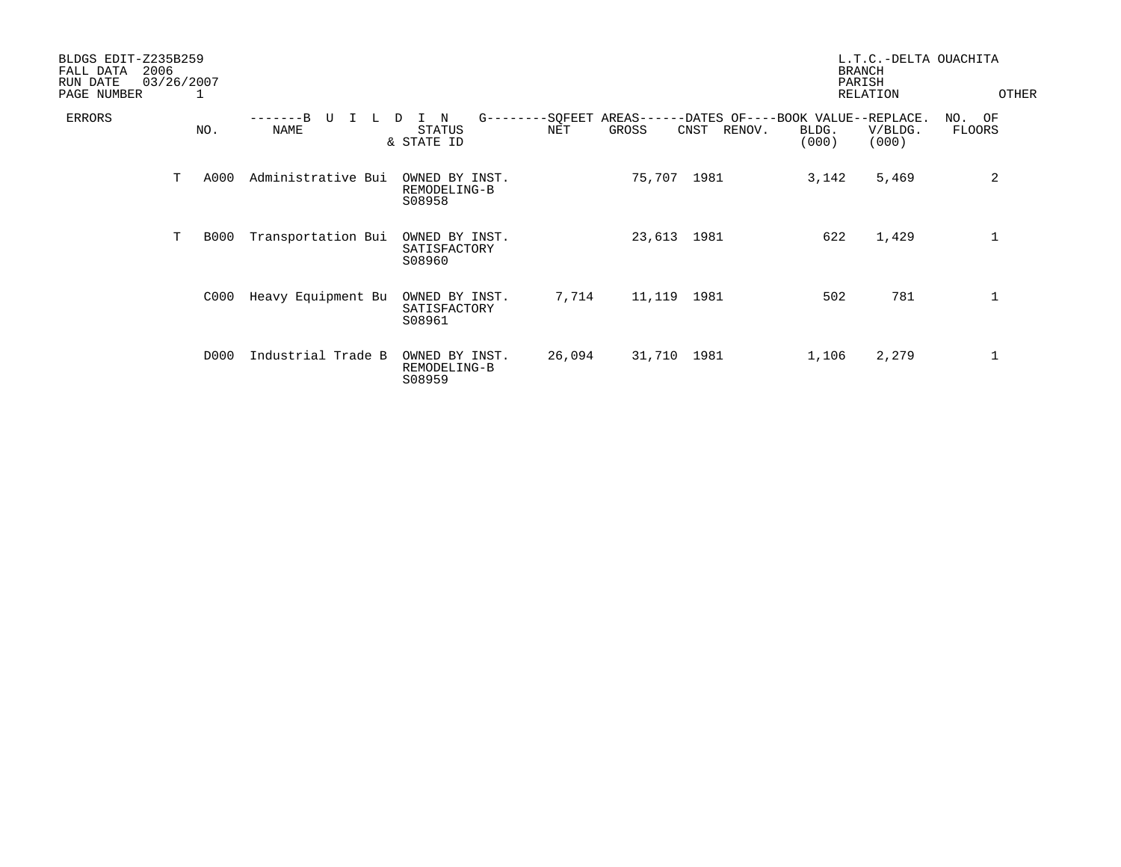| BLDGS EDIT-Z235B259<br>2006<br>FALL DATA<br>RUN DATE<br>PAGE NUMBER | 03/26/2007 | 1           |                            |                                                      |                | L.T.C.-DELTA OUACHITA<br><b>BRANCH</b><br>PARISH<br>OTHER<br>RELATION |                                                     |                |                  |                     |
|---------------------------------------------------------------------|------------|-------------|----------------------------|------------------------------------------------------|----------------|-----------------------------------------------------------------------|-----------------------------------------------------|----------------|------------------|---------------------|
| ERRORS                                                              |            | NO.         | $--B$<br>τJ<br><b>NAME</b> | $G - - - -$<br>N<br>D<br><b>STATUS</b><br>& STATE ID | -SQFEET<br>NET | $AREAS---$<br>GROSS                                                   | -DATES OF----BOOK VALUE--REPLACE.<br>CNST<br>RENOV. | BLDG.<br>(000) | V/BLDG.<br>(000) | NO.<br>OF<br>FLOORS |
|                                                                     | т          | A000        | Administrative Bui         | OWNED BY INST.<br>REMODELING-B<br>S08958             |                | 75,707 1981                                                           |                                                     | 3,142          | 5,469            | 2                   |
|                                                                     | T          | <b>B000</b> | Transportation Bui         | OWNED BY INST.<br>SATISFACTORY<br>S08960             |                | 23,613 1981                                                           |                                                     | 622            | 1,429            | 1                   |
|                                                                     |            | C000        | Heavy Equipment Bu         | OWNED BY INST.<br>SATISFACTORY<br>S08961             | 7,714          | 11,119                                                                | 1981                                                | 502            | 781              | $\mathbf 1$         |
|                                                                     |            | D000        | Industrial Trade B         | OWNED BY INST.<br>REMODELING-B<br>S08959             | 26,094         | 31,710 1981                                                           |                                                     | 1,106          | 2,279            | 1                   |